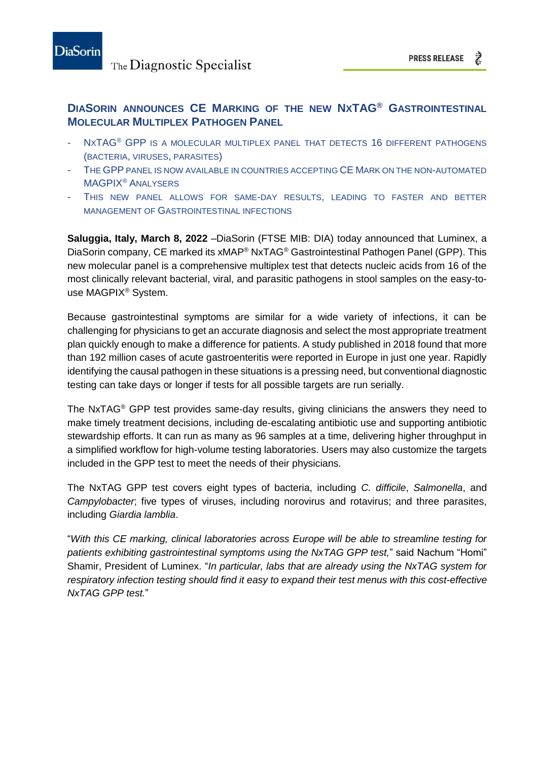

## **DIASORIN ANNOUNCES CE MARKING OF THE NEW NXTAG® GASTROINTESTINAL MOLECULAR MULTIPLEX PATHOGEN PANEL**

- NXTAG<sup>®</sup> GPP IS A MOLECULAR MULTIPLEX PANEL THAT DETECTS 16 DIFFERENT PATHOGENS (BACTERIA, VIRUSES, PARASITES)
- THE GPP PANEL IS NOW AVAILABLE IN COUNTRIES ACCEPTING CE MARK ON THE NON-AUTOMATED MAGPIX® ANALYSERS
- THIS NEW PANEL ALLOWS FOR SAME-DAY RESULTS, LEADING TO FASTER AND BETTER MANAGEMENT OF GASTROINTESTINAL INFECTIONS

**Saluggia, Italy, March 8, 2022** –DiaSorin (FTSE MIB: DIA) today announced that Luminex, a DiaSorin company, CE marked its xMAP® NxTAG® Gastrointestinal Pathogen Panel (GPP). This new molecular panel is a comprehensive multiplex test that detects nucleic acids from 16 of the most clinically relevant bacterial, viral, and parasitic pathogens in stool samples on the easy-touse MAGPIX® System.

Because gastrointestinal symptoms are similar for a wide variety of infections, it can be challenging for physicians to get an accurate diagnosis and select the most appropriate treatment plan quickly enough to make a difference for patients. A study published in 2018 found that more than 192 million cases of acute gastroenteritis were reported in Europe in just one year. Rapidly identifying the causal pathogen in these situations is a pressing need, but conventional diagnostic testing can take days or longer if tests for all possible targets are run serially.

The NxTAG® GPP test provides same-day results, giving clinicians the answers they need to make timely treatment decisions, including de-escalating antibiotic use and supporting antibiotic stewardship efforts. It can run as many as 96 samples at a time, delivering higher throughput in a simplified workflow for high-volume testing laboratories. Users may also customize the targets included in the GPP test to meet the needs of their physicians.

The NxTAG GPP test covers eight types of bacteria, including *C. difficile*, *Salmonella*, and *Campylobacter*; five types of viruses, including norovirus and rotavirus; and three parasites, including *Giardia lamblia*.

"*With this CE marking, clinical laboratories across Europe will be able to streamline testing for patients exhibiting gastrointestinal symptoms using the NxTAG GPP test,*" said Nachum "Homi" Shamir, President of Luminex. "*In particular, labs that are already using the NxTAG system for respiratory infection testing should find it easy to expand their test menus with this cost-effective NxTAG GPP test.*"